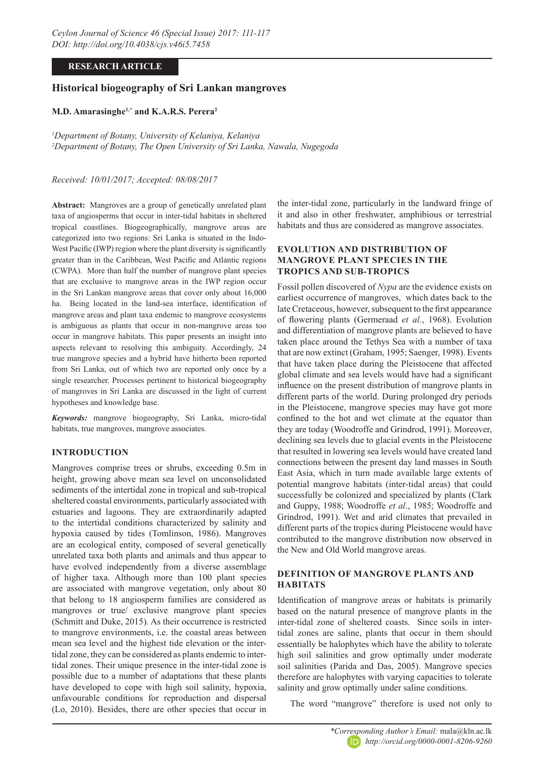### **RESEARCH ARTICLE**

# **Historical biogeography of Sri Lankan mangroves**

#### **M.D. Amarasinghe1,\* and K.A.R.S. Perera2**

*1 Department of Botany, University of Kelaniya, Kelaniya 2 Department of Botany, The Open University of Sri Lanka, Nawala, Nugegoda*

### *Received: 10/01/2017; Accepted: 08/08/2017*

**Abstract:** Mangroves are a group of genetically unrelated plant taxa of angiosperms that occur in inter-tidal habitats in sheltered tropical coastlines. Biogeographically, mangrove areas are categorized into two regions: Sri Lanka is situated in the Indo-West Pacific (IWP) region where the plant diversity is significantly greater than in the Caribbean, West Pacific and Atlantic regions (CWPA). More than half the number of mangrove plant species that are exclusive to mangrove areas in the IWP region occur in the Sri Lankan mangrove areas that cover only about 16,000 ha. Being located in the land-sea interface, identification of mangrove areas and plant taxa endemic to mangrove ecosystems is ambiguous as plants that occur in non-mangrove areas too occur in mangrove habitats. This paper presents an insight into aspects relevant to resolving this ambiguity. Accordingly, 24 true mangrove species and a hybrid have hitherto been reported from Sri Lanka, out of which two are reported only once by a single researcher. Processes pertinent to historical biogeography of mangroves in Sri Lanka are discussed in the light of current hypotheses and knowledge base.

*Keywords:* mangrove biogeography, Sri Lanka, micro-tidal habitats, true mangroves, mangrove associates.

## **INTRODUCTION**

Mangroves comprise trees or shrubs, exceeding 0.5m in height, growing above mean sea level on unconsolidated sediments of the intertidal zone in tropical and sub-tropical sheltered coastal environments, particularly associated with estuaries and lagoons. They are extraordinarily adapted to the intertidal conditions characterized by salinity and hypoxia caused by tides (Tomlinson, 1986). Mangroves are an ecological entity, composed of several genetically unrelated taxa both plants and animals and thus appear to have evolved independently from a diverse assemblage of higher taxa. Although more than 100 plant species are associated with mangrove vegetation, only about 80 that belong to 18 angiosperm families are considered as mangroves or true/ exclusive mangrove plant species (Schmitt and Duke, 2015). As their occurrence is restricted to mangrove environments, i.e. the coastal areas between mean sea level and the highest tide elevation or the intertidal zone, they can be considered as plants endemic to intertidal zones. Their unique presence in the inter-tidal zone is possible due to a number of adaptations that these plants have developed to cope with high soil salinity, hypoxia, unfavourable conditions for reproduction and dispersal (Lo, 2010). Besides, there are other species that occur in

the inter-tidal zone, particularly in the landward fringe of it and also in other freshwater, amphibious or terrestrial habitats and thus are considered as mangrove associates.

### **EVOLUTION AND DISTRIBUTION OF MANGROVE PLANT SPECIES IN THE TROPICS AND SUB-TROPICS**

Fossil pollen discovered of *Nypa* are the evidence exists on earliest occurrence of mangroves, which dates back to the late Cretaceous, however, subsequent to the first appearance of flowering plants (Germeraad *et al.*, 1968). Evolution and differentiation of mangrove plants are believed to have taken place around the Tethys Sea with a number of taxa that are now extinct (Graham, 1995; Saenger, 1998). Events that have taken place during the Pleistocene that affected global climate and sea levels would have had a significant influence on the present distribution of mangrove plants in different parts of the world. During prolonged dry periods in the Pleistocene, mangrove species may have got more confined to the hot and wet climate at the equator than they are today (Woodroffe and Grindrod, 1991). Moreover, declining sea levels due to glacial events in the Pleistocene that resulted in lowering sea levels would have created land connections between the present day land masses in South East Asia, which in turn made available large extents of potential mangrove habitats (inter-tidal areas) that could successfully be colonized and specialized by plants (Clark and Guppy, 1988; Woodroffe *et al*., 1985; Woodroffe and Grindrod, 1991). Wet and arid climates that prevailed in different parts of the tropics during Pleistocene would have contributed to the mangrove distribution now observed in the New and Old World mangrove areas.

## **DEFINITION OF MANGROVE PLANTS AND HABITATS**

Identification of mangrove areas or habitats is primarily based on the natural presence of mangrove plants in the inter-tidal zone of sheltered coasts. Since soils in intertidal zones are saline, plants that occur in them should essentially be halophytes which have the ability to tolerate high soil salinities and grow optimally under moderate soil salinities (Parida and Das, 2005). Mangrove species therefore are halophytes with varying capacities to tolerate salinity and grow optimally under saline conditions.

The word "mangrove" therefore is used not only to

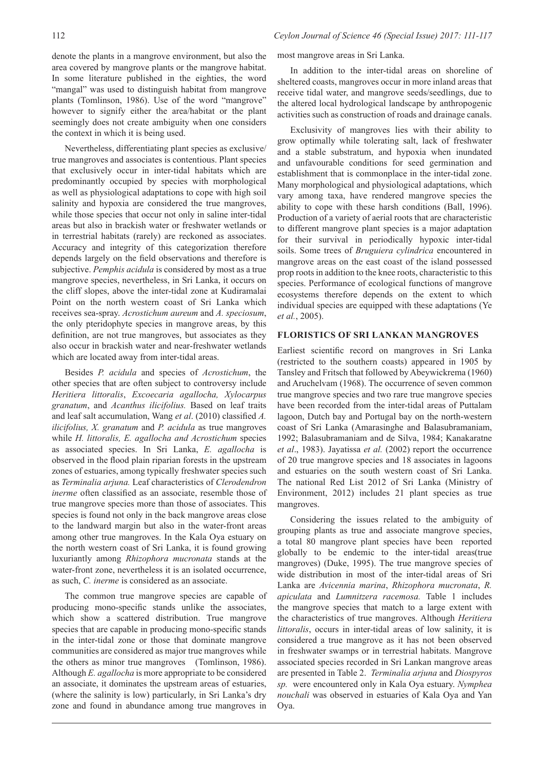Nevertheless, differentiating plant species as exclusive/ true mangroves and associates is contentious. Plant species that exclusively occur in inter-tidal habitats which are predominantly occupied by species with morphological as well as physiological adaptations to cope with high soil salinity and hypoxia are considered the true mangroves, while those species that occur not only in saline inter-tidal areas but also in brackish water or freshwater wetlands or in terrestrial habitats (rarely) are reckoned as associates. Accuracy and integrity of this categorization therefore depends largely on the field observations and therefore is subjective. *Pemphis acidula* is considered by most as a true mangrove species, nevertheless, in Sri Lanka, it occurs on the cliff slopes, above the inter-tidal zone at Kudiramalai Point on the north western coast of Sri Lanka which receives sea-spray. *Acrostichum aureum* and *A. speciosum*, the only pteridophyte species in mangrove areas, by this definition, are not true mangroves, but associates as they also occur in brackish water and near-freshwater wetlands which are located away from inter-tidal areas.

Besides *P. acidula* and species of *Acrostichum*, the other species that are often subject to controversy include *Heritiera littoralis*, *Excoecaria agallocha, Xylocarpus granatum*, and *Acanthus ilicifolius.* Based on leaf traits and leaf salt accumulation, Wang *et al*. (2010) classified *A. ilicifolius, X. granatum* and *P. acidula* as true mangroves while *H. littoralis, E. agallocha and Acrostichum* species as associated species. In Sri Lanka, *E. agallocha* is observed in the flood plain riparian forests in the upstream zones of estuaries, among typically freshwater species such as *Terminalia arjuna.* Leaf characteristics of *Clerodendron inerme* often classified as an associate, resemble those of true mangrove species more than those of associates. This species is found not only in the back mangrove areas close to the landward margin but also in the water-front areas among other true mangroves. In the Kala Oya estuary on the north western coast of Sri Lanka, it is found growing luxuriantly among *Rhizophora mucronata* stands at the water-front zone, nevertheless it is an isolated occurrence, as such, *C. inerme* is considered as an associate.

The common true mangrove species are capable of producing mono-specific stands unlike the associates, which show a scattered distribution. True mangrove species that are capable in producing mono-specific stands in the inter-tidal zone or those that dominate mangrove communities are considered as major true mangroves while the others as minor true mangroves (Tomlinson, 1986). Although *E. agallocha* is more appropriate to be considered an associate, it dominates the upstream areas of estuaries, (where the salinity is low) particularly, in Sri Lanka's dry zone and found in abundance among true mangroves in

most mangrove areas in Sri Lanka.

In addition to the inter-tidal areas on shoreline of sheltered coasts, mangroves occur in more inland areas that receive tidal water, and mangrove seeds/seedlings, due to the altered local hydrological landscape by anthropogenic activities such as construction of roads and drainage canals.

Exclusivity of mangroves lies with their ability to grow optimally while tolerating salt, lack of freshwater and a stable substratum, and hypoxia when inundated and unfavourable conditions for seed germination and establishment that is commonplace in the inter-tidal zone. Many morphological and physiological adaptations, which vary among taxa, have rendered mangrove species the ability to cope with these harsh conditions (Ball, 1996). Production of a variety of aerial roots that are characteristic to different mangrove plant species is a major adaptation for their survival in periodically hypoxic inter-tidal soils. Some trees of *Bruguiera cylindrica* encountered in mangrove areas on the east coast of the island possessed prop roots in addition to the knee roots, characteristic to this species. Performance of ecological functions of mangrove ecosystems therefore depends on the extent to which individual species are equipped with these adaptations (Ye *et al.*, 2005).

#### **FLORISTICS OF SRI LANKAN MANGROVES**

Earliest scientific record on mangroves in Sri Lanka (restricted to the southern coasts) appeared in 1905 by Tansley and Fritsch that followed by Abeywickrema (1960) and Aruchelvam (1968). The occurrence of seven common true mangrove species and two rare true mangrove species have been recorded from the inter-tidal areas of Puttalam lagoon, Dutch bay and Portugal bay on the north-western coast of Sri Lanka (Amarasinghe and Balasubramaniam, 1992; Balasubramaniam and de Silva, 1984; Kanakaratne *et al*., 1983). Jayatissa *et al.* (2002) report the occurrence of 20 true mangrove species and 18 associates in lagoons and estuaries on the south western coast of Sri Lanka. The national Red List 2012 of Sri Lanka (Ministry of Environment, 2012) includes 21 plant species as true mangroves.

Considering the issues related to the ambiguity of grouping plants as true and associate mangrove species, a total 80 mangrove plant species have been reported globally to be endemic to the inter-tidal areas(true mangroves) (Duke, 1995). The true mangrove species of wide distribution in most of the inter-tidal areas of Sri Lanka are *Avicennia marina*, *Rhizophora mucronata*, *R. apiculata* and *Lumnitzera racemosa.* Table 1 includes the mangrove species that match to a large extent with the characteristics of true mangroves. Although *Heritiera littoralis*, occurs in inter-tidal areas of low salinity, it is considered a true mangrove as it has not been observed in freshwater swamps or in terrestrial habitats. Mangrove associated species recorded in Sri Lankan mangrove areas are presented in Table 2. *Terminalia arjuna* and *Diospyros sp.* were encountered only in Kala Oya estuary. *Nymphea nouchali* was observed in estuaries of Kala Oya and Yan Oya.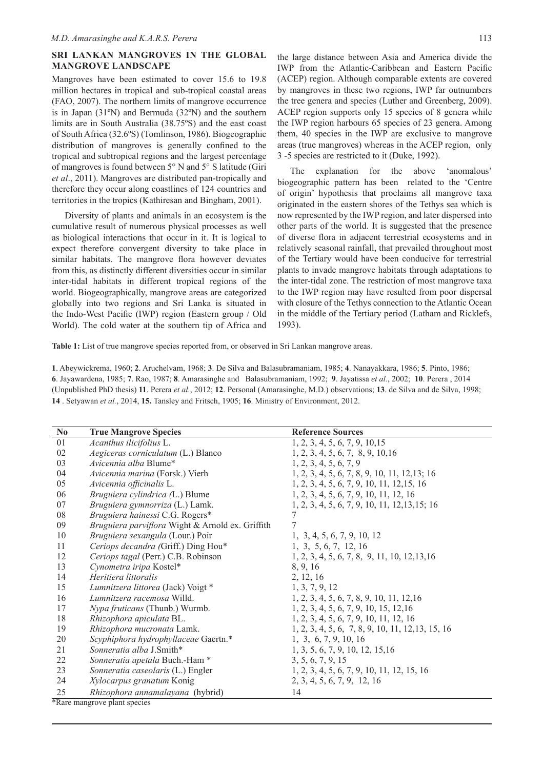### **SRI LANKAN MANGROVES IN THE GLOBAL MANGROVE LANDSCAPE**

Mangroves have been estimated to cover 15.6 to 19.8 million hectares in tropical and sub-tropical coastal areas (FAO, 2007). The northern limits of mangrove occurrence is in Japan (31ºN) and Bermuda (32ºN) and the southern limits are in South Australia (38.75ºS) and the east coast of South Africa (32.6ºS) (Tomlinson, 1986). Biogeographic distribution of mangroves is generally confined to the tropical and subtropical regions and the largest percentage of mangroves is found between 5° N and 5° S latitude (Giri *et al*., 2011). Mangroves are distributed pan-tropically and therefore they occur along coastlines of 124 countries and territories in the tropics (Kathiresan and Bingham, 2001).

Diversity of plants and animals in an ecosystem is the cumulative result of numerous physical processes as well as biological interactions that occur in it. It is logical to expect therefore convergent diversity to take place in similar habitats. The mangrove flora however deviates from this, as distinctly different diversities occur in similar inter-tidal habitats in different tropical regions of the world. Biogeographically, mangrove areas are categorized globally into two regions and Sri Lanka is situated in the Indo-West Pacific (IWP) region (Eastern group / Old World). The cold water at the southern tip of Africa and

the large distance between Asia and America divide the IWP from the Atlantic-Caribbean and Eastern Pacific (ACEP) region. Although comparable extents are covered by mangroves in these two regions, IWP far outnumbers the tree genera and species (Luther and Greenberg, 2009). ACEP region supports only 15 species of 8 genera while the IWP region harbours 65 species of 23 genera. Among them, 40 species in the IWP are exclusive to mangrove areas (true mangroves) whereas in the ACEP region, only 3 -5 species are restricted to it (Duke, 1992).

The explanation for the above 'anomalous' biogeographic pattern has been related to the 'Centre of origin' hypothesis that proclaims all mangrove taxa originated in the eastern shores of the Tethys sea which is now represented by the IWP region, and later dispersed into other parts of the world. It is suggested that the presence of diverse flora in adjacent terrestrial ecosystems and in relatively seasonal rainfall, that prevailed throughout most of the Tertiary would have been conducive for terrestrial plants to invade mangrove habitats through adaptations to the inter-tidal zone. The restriction of most mangrove taxa to the IWP region may have resulted from poor dispersal with closure of the Tethys connection to the Atlantic Ocean in the middle of the Tertiary period (Latham and Ricklefs, 1993).

**Table 1:** List of true mangrove species reported from, or observed in Sri Lankan mangrove areas.

. Abeywickrema, 1960; **2**. Aruchelvam, 1968; **3**. De Silva and Balasubramaniam, 1985; **4**. Nanayakkara, 1986; **5**. Pinto, 1986; . Jayawardena, 1985; **7**. Rao, 1987; **8**. Amarasinghe and Balasubramaniam, 1992; **9**. Jayatissa *et al.*, 2002; **10**. Perera , 2014 (Unpublished PhD thesis) **11**. Perera *et al.*, 2012; **12**. Personal (Amarasinghe, M.D.) observations; **13**. de Silva and de Silva, 1998; . Setyawan *et al.*, 2014, **15.** Tansley and Fritsch, 1905; **16**. Ministry of Environment, 2012.

| N <sub>0</sub> | <b>True Mangrove Species</b>                     | <b>Reference Sources</b>                          |
|----------------|--------------------------------------------------|---------------------------------------------------|
| 01             | Acanthus ilicifolius L.                          | 1, 2, 3, 4, 5, 6, 7, 9, 10, 15                    |
| 02             | Aegiceras corniculatum (L.) Blanco               | 1, 2, 3, 4, 5, 6, 7, 8, 9, 10, 16                 |
| 03             | Avicennia alba Blume*                            | 1, 2, 3, 4, 5, 6, 7, 9                            |
| 04             | Avicennia marina (Forsk.) Vierh                  | $1, 2, 3, 4, 5, 6, 7, 8, 9, 10, 11, 12, 13; 16$   |
| 05             | Avicennia officinalis L.                         | 1, 2, 3, 4, 5, 6, 7, 9, 10, 11, 12, 15, 16        |
| 06             | Bruguiera cylindrica (L.) Blume                  | 1, 2, 3, 4, 5, 6, 7, 9, 10, 11, 12, 16            |
| 07             | Bruguiera gymnorriza (L.) Lamk.                  | $1, 2, 3, 4, 5, 6, 7, 9, 10, 11, 12, 13, 15; 16$  |
| ${\bf 08}$     | Bruguiera hainessi C.G. Rogers*                  | 7                                                 |
| 09             | Bruguiera parviflora Wight & Arnold ex. Griffith | 7                                                 |
| 10             | Bruguiera sexangula (Lour.) Poir                 | 1, 3, 4, 5, 6, 7, 9, 10, 12                       |
| 11             | Ceriops decandra (Griff.) Ding Hou*              | 1, 3, 5, 6, 7, 12, 16                             |
| 12             | Ceriops tagal (Perr.) C.B. Robinson              | 1, 2, 3, 4, 5, 6, 7, 8, 9, 11, 10, 12, 13, 16     |
| 13             | Cynometra iripa Kostel*                          | 8, 9, 16                                          |
| 14             | Heritiera littoralis                             | 2, 12, 16                                         |
| 15             | Lumnitzera littorea (Jack) Voigt *               | 1, 3, 7, 9, 12                                    |
| 16             | Lumnitzera racemosa Willd.                       | 1, 2, 3, 4, 5, 6, 7, 8, 9, 10, 11, 12, 16         |
| 17             | Nypa fruticans (Thunb.) Wurmb.                   | 1, 2, 3, 4, 5, 6, 7, 9, 10, 15, 12, 16            |
| 18             | Rhizophora apiculata BL.                         | 1, 2, 3, 4, 5, 6, 7, 9, 10, 11, 12, 16            |
| 19             | Rhizophora mucronata Lamk.                       | 1, 2, 3, 4, 5, 6, 7, 8, 9, 10, 11, 12, 13, 15, 16 |
| 20             | Scyphiphora hydrophyllaceae Gaertn.*             | 1, 3, 6, 7, 9, 10, 16                             |
| 21             | Sonneratia alba J.Smith*                         | 1, 3, 5, 6, 7, 9, 10, 12, 15, 16                  |
| 22             | Sonneratia apetala Buch.-Ham *                   | 3, 5, 6, 7, 9, 15                                 |
| 23             | Sonneratia caseolaris (L.) Engler                | 1, 2, 3, 4, 5, 6, 7, 9, 10, 11, 12, 15, 16        |
| 24             | Xylocarpus granatum Konig                        | 2, 3, 4, 5, 6, 7, 9, 12, 16                       |
| 25             | Rhizophora annamalayana (hybrid)                 | 14                                                |
|                | *Rare mangrove plant species                     |                                                   |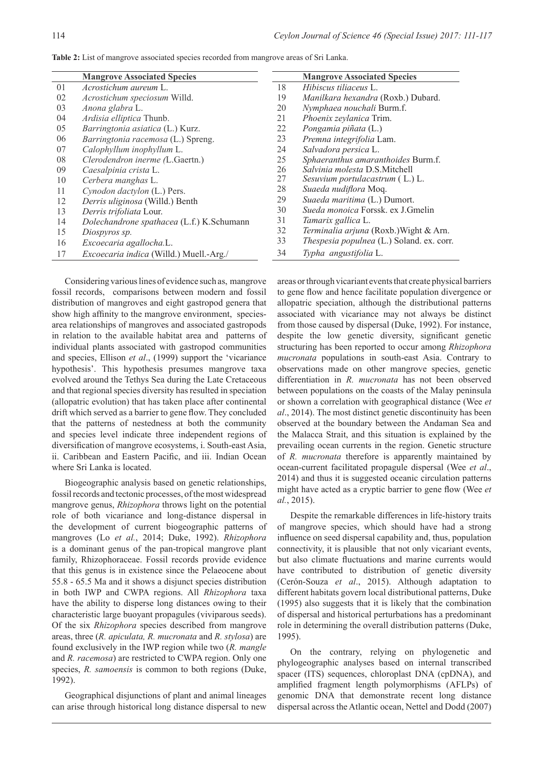| Table 2: List of mangrove associated species recorded from mangrove areas of Sri Lanka. |  |  |  |
|-----------------------------------------------------------------------------------------|--|--|--|
|-----------------------------------------------------------------------------------------|--|--|--|

|    | <b>Mangrove Associated Species</b>        |    | <b>Mangrove Associated Species</b>        |
|----|-------------------------------------------|----|-------------------------------------------|
| 01 | Acrostichum aureum L.                     | 18 | Hibiscus tiliaceus L.                     |
| 02 | <i>Acrostichum speciosum Willd.</i>       | 19 | Manilkara hexandra (Roxb.) Dubard.        |
| 03 | Anona glabra L.                           | 20 | Nymphaea nouchali Burm.f.                 |
| 04 | Ardisia elliptica Thunb.                  | 21 | Phoenix zeylanica Trim.                   |
| 05 | Barringtonia asiatica (L.) Kurz.          | 22 | Pongamia piñata (L.)                      |
| 06 | Barringtonia racemosa (L.) Spreng.        | 23 | Premna integrifolia Lam.                  |
| 07 | Calophyllum inophyllum L.                 | 24 | Salvadora persica L.                      |
| 08 | Clerodendron inerme (L.Gaertn.)           | 25 | Sphaeranthus amaranthoides Burm.f.        |
| 09 | Caesalpinia crista L.                     | 26 | Salvinia molesta D.S.Mitchell             |
| 10 | Cerbera manghas L.                        | 27 | Sesuvium portulacastrum (L.) L.           |
| 11 | Cynodon dactylon (L.) Pers.               | 28 | Suaeda nudiflora Moq.                     |
| 12 | Derris uliginosa (Willd.) Benth           | 29 | Suaeda maritima (L.) Dumort.              |
| 13 | Derris trifoliata Lour.                   | 30 | Sueda monoica Forssk. ex J.Gmelin         |
| 14 | Dolechandrone spathacea (L.f.) K.Schumann | 31 | Tamarix gallica L.                        |
| 15 | Diospyros sp.                             | 32 | Terminalia arjuna (Roxb.) Wight & Arn.    |
| 16 | Excoecaria agallocha.L.                   | 33 | Thespesia populnea (L.) Soland. ex. corr. |
| 17 | Excoecaria indica (Willd.) Muell.-Arg./   | 34 | Typha angustifolia L.                     |

Considering various lines of evidence such as, mangrove fossil records, comparisons between modern and fossil distribution of mangroves and eight gastropod genera that show high affinity to the mangrove environment, speciesarea relationships of mangroves and associated gastropods in relation to the available habitat area and patterns of individual plants associated with gastropod communities and species, Ellison *et al*., (1999) support the 'vicariance hypothesis'. This hypothesis presumes mangrove taxa evolved around the Tethys Sea during the Late Cretaceous and that regional species diversity has resulted in speciation (allopatric evolution) that has taken place after continental drift which served as a barrier to gene flow. They concluded that the patterns of nestedness at both the community and species level indicate three independent regions of diversification of mangrove ecosystems, i. South-east Asia, ii. Caribbean and Eastern Pacific, and iii. Indian Ocean where Sri Lanka is located.

Biogeographic analysis based on genetic relationships, fossil records and tectonic processes, of the most widespread mangrove genus, *Rhizophora* throws light on the potential role of both vicariance and long-distance dispersal in the development of current biogeographic patterns of mangroves (Lo *et al.*, 2014; Duke, 1992). *Rhizophora* is a dominant genus of the pan-tropical mangrove plant family, Rhizophoraceae. Fossil records provide evidence that this genus is in existence since the Pelaeocene about 55.8 - 65.5 Ma and it shows a disjunct species distribution in both IWP and CWPA regions. All *Rhizophora* taxa have the ability to disperse long distances owing to their characteristic large buoyant propagules (viviparous seeds). Of the six *Rhizophora* species described from mangrove areas, three (*R. apiculata, R. mucronata* and *R. stylosa*) are found exclusively in the IWP region while two (*R. mangle* and *R. racemosa*) are restricted to CWPA region. Only one species, *R. samoensis* is common to both regions (Duke, 1992).

Geographical disjunctions of plant and animal lineages can arise through historical long distance dispersal to new areas or through vicariant events that create physical barriers to gene flow and hence facilitate population divergence or allopatric speciation, although the distributional patterns associated with vicariance may not always be distinct from those caused by dispersal (Duke, 1992). For instance, despite the low genetic diversity, significant genetic structuring has been reported to occur among *Rhizophora mucronata* populations in south-east Asia. Contrary to observations made on other mangrove species, genetic differentiation in *R. mucronata* has not been observed between populations on the coasts of the Malay peninsula or shown a correlation with geographical distance (Wee *et al*., 2014). The most distinct genetic discontinuity has been observed at the boundary between the Andaman Sea and the Malacca Strait, and this situation is explained by the prevailing ocean currents in the region. Genetic structure of *R. mucronata* therefore is apparently maintained by ocean-current facilitated propagule dispersal (Wee *et al*., 2014) and thus it is suggested oceanic circulation patterns might have acted as a cryptic barrier to gene flow (Wee *et al.*, 2015).

Despite the remarkable differences in life-history traits of mangrove species, which should have had a strong influence on seed dispersal capability and, thus, population connectivity, it is plausible that not only vicariant events, but also climate fluctuations and marine currents would have contributed to distribution of genetic diversity (Cerón-Souza *et al*., 2015). Although adaptation to different habitats govern local distributional patterns, Duke (1995) also suggests that it is likely that the combination of dispersal and historical perturbations has a predominant role in determining the overall distribution patterns (Duke, 1995).

On the contrary, relying on phylogenetic and phylogeographic analyses based on internal transcribed spacer (ITS) sequences, chloroplast DNA (cpDNA), and amplified fragment length polymorphisms (AFLPs) of genomic DNA that demonstrate recent long distance dispersal across the Atlantic ocean, Nettel and Dodd (2007)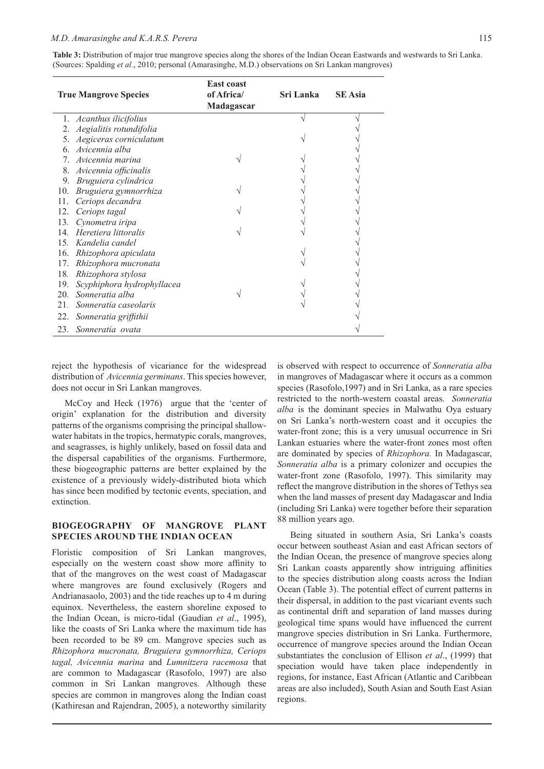Table 3: Distribution of major true mangrove species along the shores of the Indian Ocean Eastwards and westwards to Sri Lanka. (Sources: Spalding *et al.*, 2010; personal (Amarasinghe, M.D.) observations on Sri Lankan mangroves)

|     | <b>True Mangrove Species</b> | <b>East coast</b><br>of Africa/<br>Madagascar | Sri Lanka | <b>SE</b> Asia |
|-----|------------------------------|-----------------------------------------------|-----------|----------------|
| 1.  | Acanthus ilicifolius         |                                               |           |                |
| 2.  | Aegialitis rotundifolia      |                                               |           |                |
|     | Aegiceras corniculatum       |                                               |           |                |
| 6.  | Avicennia alba               |                                               |           |                |
|     | Avicennia marina             |                                               |           |                |
| 8.  | Avicennia officinalis        |                                               |           |                |
| 9.  | Bruguiera cylindrica         |                                               |           |                |
| 10. | Bruguiera gymnorrhiza        |                                               |           |                |
| 11. | Ceriops decandra             |                                               |           |                |
| 12. | Ceriops tagal                |                                               |           |                |
| 13. | Cynometra iripa              |                                               |           |                |
| 14  | Heretiera littoralis         |                                               |           |                |
| 15. | Kandelia candel              |                                               |           |                |
| 16. | Rhizophora apiculata         |                                               |           |                |
| 17. | Rhizophora mucronata         |                                               |           |                |
| 18. | Rhizophora stylosa           |                                               |           |                |
| 19. | Scyphiphora hydrophyllacea   |                                               |           |                |
| 20. | Sonneratia alba              |                                               |           |                |
| 21. | Sonneratia caseolaris        |                                               |           |                |
| 22. | Sonneratia griffithii        |                                               |           |                |
| 23. | Sonneratia ovata             |                                               |           |                |

reject the hypothesis of vicariance for the widespread distribution of *Avicennia germinans*. This species however, does not occur in Sri Lankan mangroves.

McCoy and Heck (1976) argue that the 'center of origin' explanation for the distribution and diversity patterns of the organisms comprising the principal shallowwater habitats in the tropics, hermatypic corals, mangroves, and seagrasses, is highly unlikely, based on fossil data and the dispersal capabilities of the organisms. Furthermore, these biogeographic patterns are better explained by the existence of a previously widely-distributed biota which has since been modified by tectonic events, speciation, and extinction.

#### **BIOGEOGRAPHY OF MANGROVE PLANT SPECIES AROUND THE INDIAN OCEAN**

Floristic composition of Sri Lankan mangroves, especially on the western coast show more affinity to that of the mangroves on the west coast of Madagascar where mangroves are found exclusively (Rogers and Andrianasaolo, 2003) and the tide reaches up to 4 m during equinox. Nevertheless, the eastern shoreline exposed to the Indian Ocean, is micro-tidal (Gaudian *et al*., 1995), like the coasts of Sri Lanka where the maximum tide has been recorded to be 89 cm. Mangrove species such as *Rhizophora mucronata, Bruguiera gymnorrhiza, Ceriops tagal, Avicennia marina* and *Lumnitzera racemosa* that are common to Madagascar (Rasofolo, 1997) are also common in Sri Lankan mangroves. Although these species are common in mangroves along the Indian coast (Kathiresan and Rajendran, 2005), a noteworthy similarity

is observed with respect to occurrence of *Sonneratia alba*  in mangroves of Madagascar where it occurs as a common species (Rasofolo,1997) and in Sri Lanka, as a rare species restricted to the north-western coastal areas. *Sonneratia alba* is the dominant species in Malwathu Oya estuary on Sri Lanka's north-western coast and it occupies the water-front zone; this is a very unusual occurrence in Sri Lankan estuaries where the water-front zones most often are dominated by species of *Rhizophora.* In Madagascar, *Sonneratia alba* is a primary colonizer and occupies the water-front zone (Rasofolo, 1997). This similarity may reflect the mangrove distribution in the shores of Tethys sea when the land masses of present day Madagascar and India (including Sri Lanka) were together before their separation 88 million years ago.

Being situated in southern Asia, Sri Lanka's coasts occur between southeast Asian and east African sectors of the Indian Ocean, the presence of mangrove species along Sri Lankan coasts apparently show intriguing affinities to the species distribution along coasts across the Indian Ocean (Table 3). The potential effect of current patterns in their dispersal, in addition to the past vicariant events such as continental drift and separation of land masses during geological time spans would have influenced the current mangrove species distribution in Sri Lanka. Furthermore, occurrence of mangrove species around the Indian Ocean substantiates the conclusion of Ellison *et al*., (1999) that speciation would have taken place independently in regions, for instance, East African (Atlantic and Caribbean areas are also included), South Asian and South East Asian regions.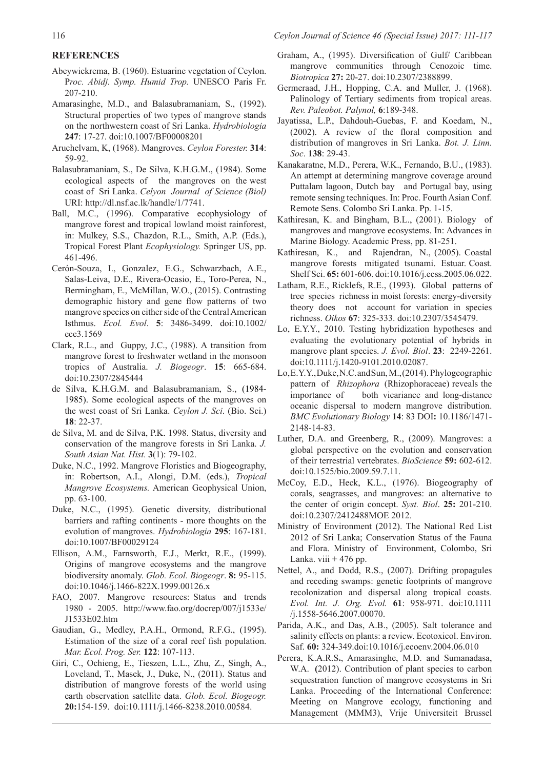### **REFERENCES**

- Abeywickrema, B. (1960). Estuarine vegetation of Ceylon. P*roc. Abidj. Symp. Humid Trop.* UNESCO Paris Fr. 207-210.
- Amarasinghe, M.D., and Balasubramaniam, S., (1992). Structural properties of two types of mangrove stands on the northwestern coast of Sri Lanka. *Hydrobiologia*  **247**: 17-27. doi:10.1007/BF00008201
- Aruchelvam, K, (1968). Mangroves. *Ceylon Forester.* **314**: 59-92.
- Balasubramaniam, S., De Silva, K.H.G.M., (1984). Some ecological aspects of the mangroves on the west coast of Sri Lanka. *Celyon Journal of Science (Biol)*  URI: http://dl.nsf.ac.lk/handle/1/7741.
- Ball, M.C., (1996). Comparative ecophysiology of mangrove forest and tropical lowland moist rainforest, in: Mulkey, S.S., Chazdon, R.L., Smith, A.P. (Eds.), Tropical Forest Plant *Ecophysiology.* Springer US, pp. 461-496.
- Cerón-Souza, I., Gonzalez, E.G., Schwarzbach, A.E., Salas-Leiva, D.E., Rivera-Ocasio, E., Toro-Perea, N., Bermingham, E., McMillan, W.O., (2015). Contrasting demographic history and gene flow patterns of two mangrove species on either side of the Central American Isthmus. *Ecol. Evol*. **5**: 3486-3499. doi:10.1002/ ece3.1569
- Clark, R.L., and Guppy, J.C., (1988). A transition from mangrove forest to freshwater wetland in the monsoon tropics of Australia. *J. Biogeogr*. **15**: 665-684. doi:10.2307/2845444
- de Silva, K.H.G.M. and Balasubramaniam, S., (1984- 1985). Some ecological aspects of the mangroves on the west coast of Sri Lanka. *Ceylon J. Sci*. (Bio. Sci.) **18**: 22-37.
- de Silva, M. and de Silva, P.K. 1998. Status, diversity and conservation of the mangrove forests in Sri Lanka. *J. South Asian Nat. Hist.* **3**(1): 79-102.
- Duke, N.C., 1992. Mangrove Floristics and Biogeography, in: Robertson, A.I., Alongi, D.M. (eds.), *Tropical Mangrove Ecosystems.* American Geophysical Union, pp. 63-100.
- Duke, N.C., (1995). Genetic diversity, distributional barriers and rafting continents - more thoughts on the evolution of mangroves. *Hydrobiologia* **295**: 167-181. doi:10.1007/BF00029124
- Ellison, A.M., Farnsworth, E.J., Merkt, R.E., (1999). Origins of mangrove ecosystems and the mangrove biodiversity anomaly. *Glob. Ecol. Biogeogr*. **8:** 95-115. doi:10.1046/j.1466-822X.1999.00126.x
- FAO, 2007. Mangrove resources: Status and trends 1980 - 2005. http://www.fao.org/docrep/007/j1533e/ J1533E02.htm
- Gaudian, G., Medley, P.A.H., Ormond, R.F.G., (1995). Estimation of the size of a coral reef fish population. *Mar. Ecol. Prog. Ser.* **122**: 107-113.
- Giri, C., Ochieng, E., Tieszen, L.L., Zhu, Z., Singh, A., Loveland, T., Masek, J., Duke, N., (2011). Status and distribution of mangrove forests of the world using earth observation satellite data. *Glob. Ecol. Biogeogr.* **20:**154-159. doi:10.1111/j.1466-8238.2010.00584.
- Graham, A., (1995). Diversification of Gulf/ Caribbean mangrove communities through Cenozoic time. *Biotropica* **27:** 20-27. doi:10.2307/2388899.
- Germeraad, J.H., Hopping, C.A. and Muller, J. (1968). Palinology of Tertiary sediments from tropical areas. *Rev. Paleobot. Palynol,* **6**:189-348.
- Jayatissa, L.P., Dahdouh-Guebas, F. and Koedam, N., (2002). A review of the floral composition and distribution of mangroves in Sri Lanka. *Bot. J. Linn. Soc*. **138**: 29-43.
- Kanakaratne, M.D., Perera, W.K., Fernando, B.U., (1983). An attempt at determining mangrove coverage around Puttalam lagoon, Dutch bay and Portugal bay, using remote sensing techniques. In: Proc. Fourth Asian Conf. Remote Sens. Colombo Sri Lanka. Pp. 1-15.
- Kathiresan, K. and Bingham, B.L., (2001). Biology of mangroves and mangrove ecosystems. In: Advances in Marine Biology. Academic Press, pp. 81-251.
- Kathiresan, K., and Rajendran, N., (2005). Coastal mangrove forests mitigated tsunami. Estuar. Coast. Shelf Sci. **65:** 601-606. doi:10.1016/j.ecss.2005.06.022.
- Latham, R.E., Ricklefs, R.E., (1993). Global patterns of tree species richness in moist forests: energy-diversity theory does not account for variation in species richness. *Oikos* **67**: 325-333. doi:10.2307/3545479.
- Lo, E.Y.Y., 2010. Testing hybridization hypotheses and evaluating the evolutionary potential of hybrids in mangrove plant species. *J. Evol. Biol*. **23**: 2249-2261. doi:10.1111/j.1420-9101.2010.02087.
- Lo, E.Y.Y., Duke, N.C. and Sun, M., (2014). Phylogeographic pattern of *Rhizophora* (Rhizophoraceae) reveals the importance of both vicariance and long-distance oceanic dispersal to modern mangrove distribution. *BMC Evolutionary Biology* **14**: 83 DOI**:** 10.1186/1471- 2148-14-83.
- Luther, D.A. and Greenberg, R., (2009). Mangroves: a global perspective on the evolution and conservation of their terrestrial vertebrates. *BioScience* **59:** 602-612. doi:10.1525/bio.2009.59.7.11.
- McCoy, E.D., Heck, K.L., (1976). Biogeography of corals, seagrasses, and mangroves: an alternative to the center of origin concept. *Syst. Biol*. **25:** 201-210. doi:10.2307/2412488MOE 2012.
- Ministry of Environment (2012). The National Red List 2012 of Sri Lanka; Conservation Status of the Fauna and Flora. Ministry of Environment, Colombo, Sri Lanka. viii  $+476$  pp.
- Nettel, A., and Dodd, R.S., (2007). Drifting propagules and receding swamps: genetic footprints of mangrove recolonization and dispersal along tropical coasts. *Evol. Int. J. Org. Evol.* **61**: 958-971. doi:10.1111 /j.1558-5646.2007.00070.
- Parida, A.K., and Das, A.B., (2005). Salt tolerance and salinity effects on plants: a review. Ecotoxicol. Environ. Saf. **60:** 324-349.doi:10.1016/j.ecoenv.2004.06.010
- Perera, K.A.R.S**.**, Amarasinghe, M.D. and Sumanadasa, W.A. **(**2012). Contribution of plant species to carbon sequestration function of mangrove ecosystems in Sri Lanka. Proceeding of the International Conference: Meeting on Mangrove ecology, functioning and Management (MMM3), Vrije Universiteit Brussel